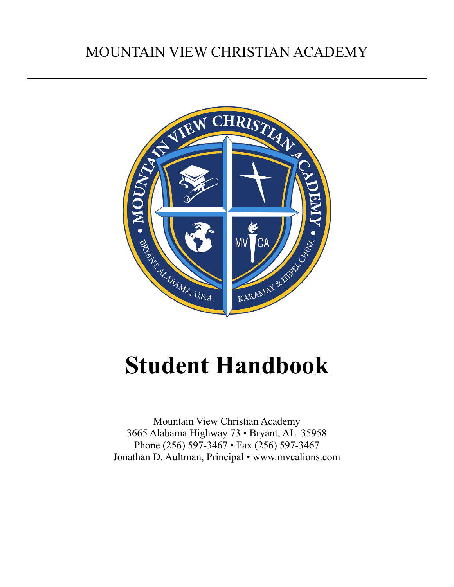# MOUNTAIN VIEW CHRISTIAN ACADEMY



# **Student Handbook**

Mountain View Christian Academy 3665 Alabama Highway 73 • Bryant, AL 35958 Phone (256) 597-3467 • Fax (256) 597-3467 Jonathan D. Aultman, Principal • www.mvcalions.com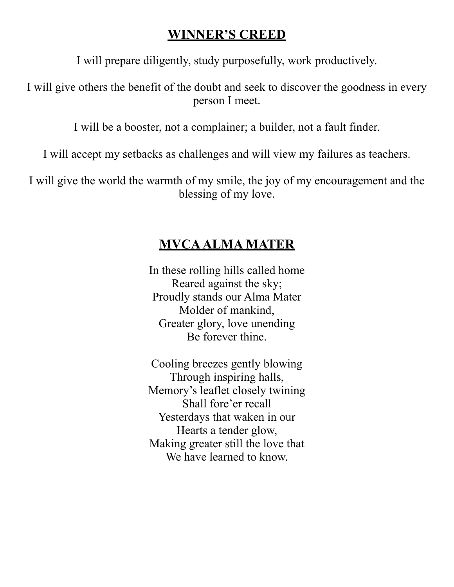# **WINNER'S CREED**

I will prepare diligently, study purposefully, work productively.

I will give others the benefit of the doubt and seek to discover the goodness in every person I meet.

I will be a booster, not a complainer; a builder, not a fault finder.

I will accept my setbacks as challenges and will view my failures as teachers.

I will give the world the warmth of my smile, the joy of my encouragement and the blessing of my love.

# **MVCA ALMA MATER**

In these rolling hills called home Reared against the sky; Proudly stands our Alma Mater Molder of mankind, Greater glory, love unending Be forever thine.

Cooling breezes gently blowing Through inspiring halls, Memory's leaflet closely twining Shall fore'er recall Yesterdays that waken in our Hearts a tender glow, Making greater still the love that We have learned to know.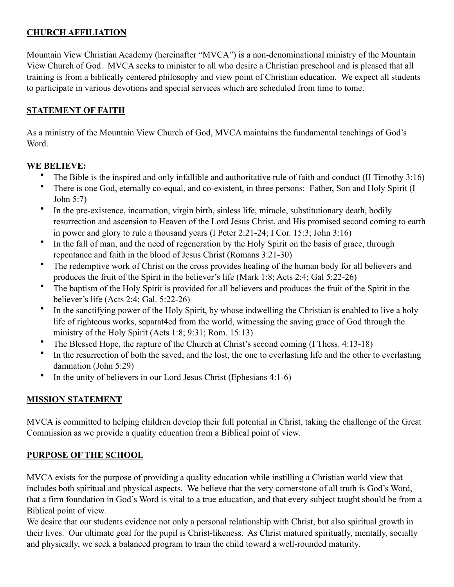# **CHURCH AFFILIATION**

Mountain View Christian Academy (hereinafter "MVCA") is a non-denominational ministry of the Mountain View Church of God. MVCA seeks to minister to all who desire a Christian preschool and is pleased that all training is from a biblically centered philosophy and view point of Christian education. We expect all students to participate in various devotions and special services which are scheduled from time to tome.

## **STATEMENT OF FAITH**

As a ministry of the Mountain View Church of God, MVCA maintains the fundamental teachings of God's Word.

### **WE BELIEVE:**

- The Bible is the inspired and only infallible and authoritative rule of faith and conduct (II Timothy 3:16)
- There is one God, eternally co-equal, and co-existent, in three persons: Father, Son and Holy Spirit (I John 5:7)
- In the pre-existence, incarnation, virgin birth, sinless life, miracle, substitutionary death, bodily resurrection and ascension to Heaven of the Lord Jesus Christ, and His promised second coming to earth in power and glory to rule a thousand years (I Peter 2:21-24; I Cor. 15:3; John 3:16)
- In the fall of man, and the need of regeneration by the Holy Spirit on the basis of grace, through repentance and faith in the blood of Jesus Christ (Romans 3:21-30)
- The redemptive work of Christ on the cross provides healing of the human body for all believers and produces the fruit of the Spirit in the believer's life (Mark 1:8; Acts 2:4; Gal 5:22-26)
- The baptism of the Holy Spirit is provided for all believers and produces the fruit of the Spirit in the believer's life (Acts 2:4; Gal. 5:22-26)
- In the sanctifying power of the Holy Spirit, by whose indwelling the Christian is enabled to live a holy life of righteous works, separat4ed from the world, witnessing the saving grace of God through the ministry of the Holy Spirit (Acts 1:8; 9:31; Rom. 15:13)
- The Blessed Hope, the rapture of the Church at Christ's second coming (I Thess. 4:13-18)
- In the resurrection of both the saved, and the lost, the one to everlasting life and the other to everlasting damnation (John 5:29)
- In the unity of believers in our Lord Jesus Christ (Ephesians  $4:1-6$ )

# **MISSION STATEMENT**

MVCA is committed to helping children develop their full potential in Christ, taking the challenge of the Great Commission as we provide a quality education from a Biblical point of view.

# **PURPOSE OF THE SCHOOL**

MVCA exists for the purpose of providing a quality education while instilling a Christian world view that includes both spiritual and physical aspects. We believe that the very cornerstone of all truth is God's Word, that a firm foundation in God's Word is vital to a true education, and that every subject taught should be from a Biblical point of view.

We desire that our students evidence not only a personal relationship with Christ, but also spiritual growth in their lives. Our ultimate goal for the pupil is Christ-likeness. As Christ matured spiritually, mentally, socially and physically, we seek a balanced program to train the child toward a well-rounded maturity.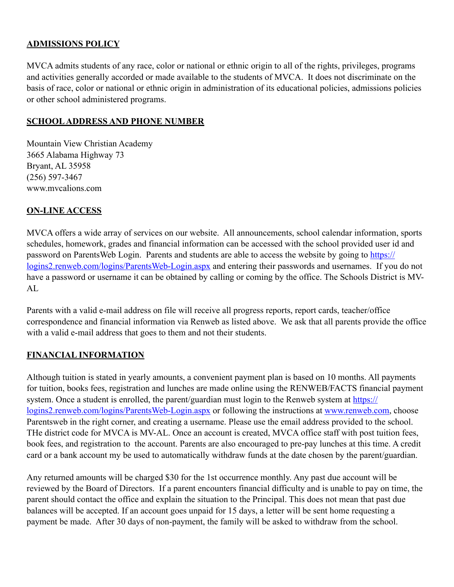#### **ADMISSIONS POLICY**

MVCA admits students of any race, color or national or ethnic origin to all of the rights, privileges, programs and activities generally accorded or made available to the students of MVCA. It does not discriminate on the basis of race, color or national or ethnic origin in administration of its educational policies, admissions policies or other school administered programs.

#### **SCHOOL ADDRESS AND PHONE NUMBER**

Mountain View Christian Academy 3665 Alabama Highway 73 Bryant, AL 35958 (256) 597-3467 www.mvcalions.com

#### **ON-LINE ACCESS**

MVCA offers a wide array of services on our website. All announcements, school calendar information, sports schedules, homework, grades and financial information can be accessed with the school provided user id and password on ParentsWeb Login. Parents and students are able to access the website by going to [https://](https://logins2.renweb.com/logins/ParentsWeb-Login.aspx) [logins2.renweb.com/logins/ParentsWeb-Login.aspx](https://logins2.renweb.com/logins/ParentsWeb-Login.aspx) and entering their passwords and usernames. If you do not have a password or username it can be obtained by calling or coming by the office. The Schools District is MV-AL

Parents with a valid e-mail address on file will receive all progress reports, report cards, teacher/office correspondence and financial information via Renweb as listed above. We ask that all parents provide the office with a valid e-mail address that goes to them and not their students.

#### **FINANCIAL INFORMATION**

Although tuition is stated in yearly amounts, a convenient payment plan is based on 10 months. All payments for tuition, books fees, registration and lunches are made online using the RENWEB/FACTS financial payment system. Once a student is enrolled, the parent/guardian must login to the Renweb system at [https://](https://logins2.renweb.com/logins/ParentsWeb-Login.aspx) [logins2.renweb.com/logins/ParentsWeb-Login.aspx](https://logins2.renweb.com/logins/ParentsWeb-Login.aspx) or following the instructions at [www.renweb.com](http://www.renweb.com), choose Parentsweb in the right corner, and creating a username. Please use the email address provided to the school. THe district code for MVCA is MV-AL. Once an account is created, MVCA office staff with post tuition fees, book fees, and registration to the account. Parents are also encouraged to pre-pay lunches at this time. A credit card or a bank account my be used to automatically withdraw funds at the date chosen by the parent/guardian.

Any returned amounts will be charged \$30 for the 1st occurrence monthly. Any past due account will be reviewed by the Board of Directors. If a parent encounters financial difficulty and is unable to pay on time, the parent should contact the office and explain the situation to the Principal. This does not mean that past due balances will be accepted. If an account goes unpaid for 15 days, a letter will be sent home requesting a payment be made. After 30 days of non-payment, the family will be asked to withdraw from the school.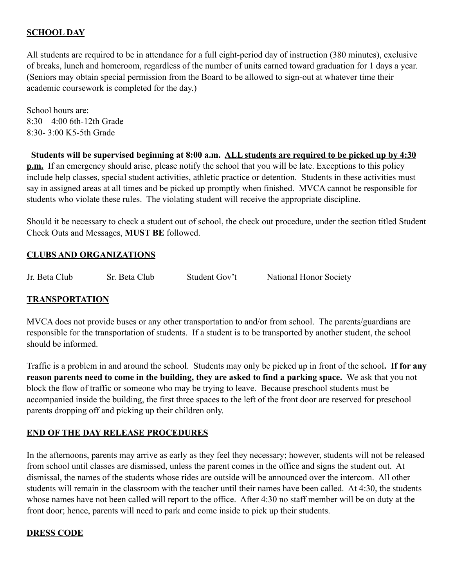#### **SCHOOL DAY**

All students are required to be in attendance for a full eight-period day of instruction (380 minutes), exclusive of breaks, lunch and homeroom, regardless of the number of units earned toward graduation for 1 days a year. (Seniors may obtain special permission from the Board to be allowed to sign-out at whatever time their academic coursework is completed for the day.)

School hours are:  $8.30 - 4.00$  6th-12th Grade 8:30- 3:00 K5-5th Grade

 **Students will be supervised beginning at 8:00 a.m. ALL students are required to be picked up by 4:30 p.m.** If an emergency should arise, please notify the school that you will be late. Exceptions to this policy include help classes, special student activities, athletic practice or detention. Students in these activities must say in assigned areas at all times and be picked up promptly when finished. MVCA cannot be responsible for students who violate these rules. The violating student will receive the appropriate discipline.

Should it be necessary to check a student out of school, the check out procedure, under the section titled Student Check Outs and Messages, **MUST BE** followed.

#### **CLUBS AND ORGANIZATIONS**

Jr. Beta Club Sr. Beta Club Student Gov't National Honor Society

#### **TRANSPORTATION**

MVCA does not provide buses or any other transportation to and/or from school. The parents/guardians are responsible for the transportation of students. If a student is to be transported by another student, the school should be informed.

Traffic is a problem in and around the school. Students may only be picked up in front of the school**. If for any reason parents need to come in the building, they are asked to find a parking space.** We ask that you not block the flow of traffic or someone who may be trying to leave. Because preschool students must be accompanied inside the building, the first three spaces to the left of the front door are reserved for preschool parents dropping off and picking up their children only.

#### **END OF THE DAY RELEASE PROCEDURES**

In the afternoons, parents may arrive as early as they feel they necessary; however, students will not be released from school until classes are dismissed, unless the parent comes in the office and signs the student out. At dismissal, the names of the students whose rides are outside will be announced over the intercom. All other students will remain in the classroom with the teacher until their names have been called. At 4:30, the students whose names have not been called will report to the office. After 4:30 no staff member will be on duty at the front door; hence, parents will need to park and come inside to pick up their students.

#### **DRESS CODE**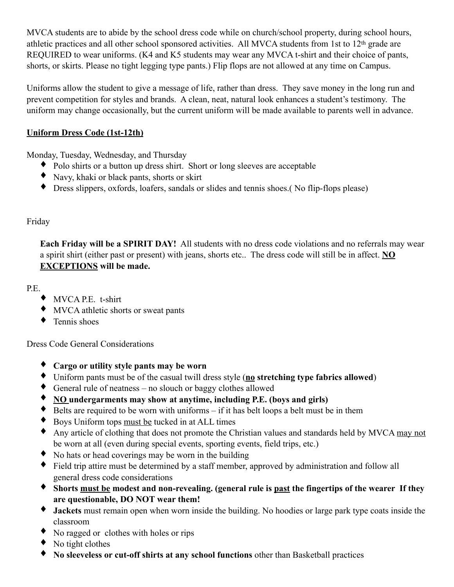MVCA students are to abide by the school dress code while on church/school property, during school hours, athletic practices and all other school sponsored activities. All MVCA students from 1st to 12th grade are REQUIRED to wear uniforms. (K4 and K5 students may wear any MVCA t-shirt and their choice of pants, shorts, or skirts. Please no tight legging type pants.) Flip flops are not allowed at any time on Campus.

Uniforms allow the student to give a message of life, rather than dress. They save money in the long run and prevent competition for styles and brands. A clean, neat, natural look enhances a student's testimony. The uniform may change occasionally, but the current uniform will be made available to parents well in advance.

# **Uniform Dress Code (1st-12th)**

Monday, Tuesday, Wednesday, and Thursday

- ♦ Polo shirts or a button up dress shirt. Short or long sleeves are acceptable
- ♦ Navy, khaki or black pants, shorts or skirt
- ♦ Dress slippers, oxfords, loafers, sandals or slides and tennis shoes.( No flip-flops please)

### Friday

**Each Friday will be a SPIRIT DAY!** All students with no dress code violations and no referrals may wear a spirit shirt (either past or present) with jeans, shorts etc.. The dress code will still be in affect. **NO EXCEPTIONS will be made.** 

P.E.

- ♦ MVCA P.E. t-shirt
- ♦ MVCA athletic shorts or sweat pants
- $\bullet$  Tennis shoes

Dress Code General Considerations

- ♦ **Cargo or utility style pants may be worn**
- ♦ Uniform pants must be of the casual twill dress style (**no stretching type fabrics allowed**)
- ♦ General rule of neatness no slouch or baggy clothes allowed
- ♦ **NO undergarments may show at anytime, including P.E. (boys and girls)**
- $\bullet$  Belts are required to be worn with uniforms if it has belt loops a belt must be in them
- ♦ Boys Uniform tops must be tucked in at ALL times
- ♦ Any article of clothing that does not promote the Christian values and standards held by MVCA may not be worn at all (even during special events, sporting events, field trips, etc.)
- ♦ No hats or head coverings may be worn in the building
- Field trip attire must be determined by a staff member, approved by administration and follow all general dress code considerations
- ♦ **Shorts must be modest and non-revealing. (general rule is past the fingertips of the wearer If they are questionable, DO NOT wear them!**
- ♦ **Jackets** must remain open when worn inside the building. No hoodies or large park type coats inside the classroom
- ♦ No ragged or clothes with holes or rips
- $\bullet$  No tight clothes
- ♦ **No sleeveless or cut-off shirts at any school functions** other than Basketball practices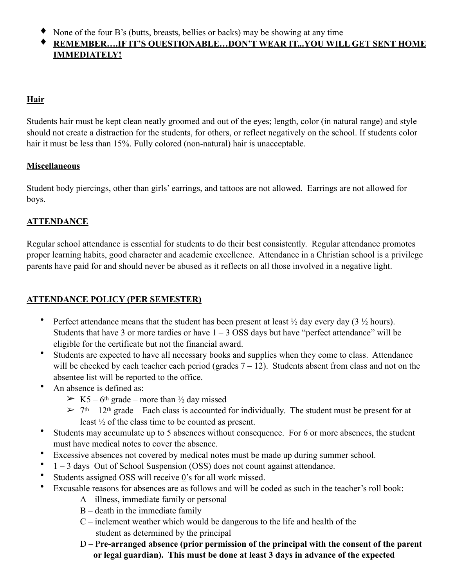♦ None of the four B's (butts, breasts, bellies or backs) may be showing at any time

# ♦ **REMEMBER….IF IT'S QUESTIONABLE…DON'T WEAR IT...YOU WILL GET SENT HOME IMMEDIATELY!**

# **Hair**

Students hair must be kept clean neatly groomed and out of the eyes; length, color (in natural range) and style should not create a distraction for the students, for others, or reflect negatively on the school. If students color hair it must be less than 15%. Fully colored (non-natural) hair is unacceptable.

#### **Miscellaneous**

Student body piercings, other than girls' earrings, and tattoos are not allowed. Earrings are not allowed for boys.

### **ATTENDANCE**

Regular school attendance is essential for students to do their best consistently. Regular attendance promotes proper learning habits, good character and academic excellence. Attendance in a Christian school is a privilege parents have paid for and should never be abused as it reflects on all those involved in a negative light.

# **ATTENDANCE POLICY (PER SEMESTER)**

- Perfect attendance means that the student has been present at least  $\frac{1}{2}$  day every day (3  $\frac{1}{2}$  hours). Students that have 3 or more tardies or have  $1 - 3$  OSS days but have "perfect attendance" will be eligible for the certificate but not the financial award.
- Students are expected to have all necessary books and supplies when they come to class. Attendance will be checked by each teacher each period (grades  $7 - 12$ ). Students absent from class and not on the absentee list will be reported to the office.
- An absence is defined as:
	- $> K5 6$ <sup>th</sup> grade more than  $\frac{1}{2}$  day missed
	- $> 7<sup>th</sup> 12<sup>th</sup>$  grade Each class is accounted for individually. The student must be present for at least ½ of the class time to be counted as present.
- Students may accumulate up to 5 absences without consequence. For 6 or more absences, the student must have medical notes to cover the absence.
- Excessive absences not covered by medical notes must be made up during summer school.
- 1 3 days Out of School Suspension (OSS) does not count against attendance.
- Students assigned OSS will receive 0's for all work missed.
- Excusable reasons for absences are as follows and will be coded as such in the teacher's roll book:
	- A illness, immediate family or personal
	- B death in the immediate family
	- C inclement weather which would be dangerous to the life and health of the student as determined by the principal
	- D P**re-arranged absence (prior permission of the principal with the consent of the parent or legal guardian). This must be done at least 3 days in advance of the expected**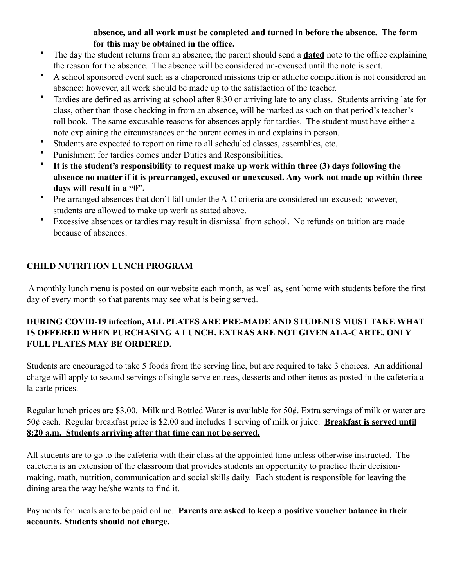#### **absence, and all work must be completed and turned in before the absence. The form for this may be obtained in the office.**

- The day the student returns from an absence, the parent should send a **dated** note to the office explaining the reason for the absence. The absence will be considered un-excused until the note is sent.
- A school sponsored event such as a chaperoned missions trip or athletic competition is not considered an absence; however, all work should be made up to the satisfaction of the teacher.
- Tardies are defined as arriving at school after 8:30 or arriving late to any class. Students arriving late for class, other than those checking in from an absence, will be marked as such on that period's teacher's roll book. The same excusable reasons for absences apply for tardies. The student must have either a note explaining the circumstances or the parent comes in and explains in person.
- Students are expected to report on time to all scheduled classes, assemblies, etc.
- Punishment for tardies comes under Duties and Responsibilities.
- **It is the student's responsibility to request make up work within three (3) days following the absence no matter if it is prearranged, excused or unexcused. Any work not made up within three days will result in a "0".**
- Pre-arranged absences that don't fall under the A-C criteria are considered un-excused; however, students are allowed to make up work as stated above.
- Excessive absences or tardies may result in dismissal from school. No refunds on tuition are made because of absences.

# **CHILD NUTRITION LUNCH PROGRAM**

 A monthly lunch menu is posted on our website each month, as well as, sent home with students before the first day of every month so that parents may see what is being served.

### **DURING COVID-19 infection, ALL PLATES ARE PRE-MADE AND STUDENTS MUST TAKE WHAT IS OFFERED WHEN PURCHASING A LUNCH. EXTRAS ARE NOT GIVEN ALA-CARTE. ONLY FULL PLATES MAY BE ORDERED.**

Students are encouraged to take 5 foods from the serving line, but are required to take 3 choices. An additional charge will apply to second servings of single serve entrees, desserts and other items as posted in the cafeteria a la carte prices.

Regular lunch prices are \$3.00. Milk and Bottled Water is available for 50¢. Extra servings of milk or water are 50¢ each. Regular breakfast price is \$2.00 and includes 1 serving of milk or juice. **Breakfast is served until 8:20 a.m. Students arriving after that time can not be served.** 

All students are to go to the cafeteria with their class at the appointed time unless otherwise instructed. The cafeteria is an extension of the classroom that provides students an opportunity to practice their decisionmaking, math, nutrition, communication and social skills daily. Each student is responsible for leaving the dining area the way he/she wants to find it.

Payments for meals are to be paid online. **Parents are asked to keep a positive voucher balance in their accounts. Students should not charge.**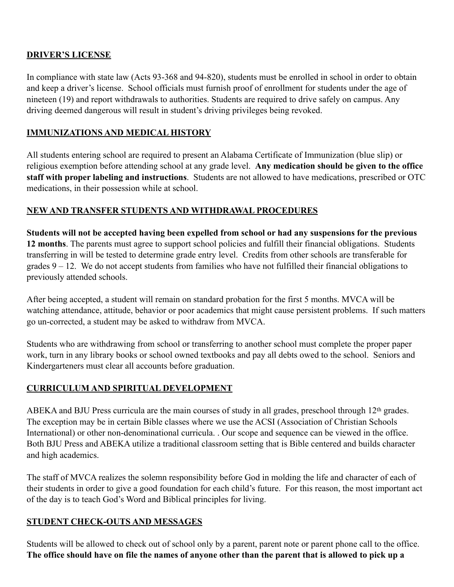#### **DRIVER'S LICENSE**

In compliance with state law (Acts 93-368 and 94-820), students must be enrolled in school in order to obtain and keep a driver's license. School officials must furnish proof of enrollment for students under the age of nineteen (19) and report withdrawals to authorities. Students are required to drive safely on campus. Any driving deemed dangerous will result in student's driving privileges being revoked.

## **IMMUNIZATIONS AND MEDICAL HISTORY**

All students entering school are required to present an Alabama Certificate of Immunization (blue slip) or religious exemption before attending school at any grade level. **Any medication should be given to the office staff with proper labeling and instructions**. Students are not allowed to have medications, prescribed or OTC medications, in their possession while at school.

# **NEW AND TRANSFER STUDENTS AND WITHDRAWAL PROCEDURES**

**Students will not be accepted having been expelled from school or had any suspensions for the previous 12 months**. The parents must agree to support school policies and fulfill their financial obligations. Students transferring in will be tested to determine grade entry level. Credits from other schools are transferable for grades  $9 - 12$ . We do not accept students from families who have not fulfilled their financial obligations to previously attended schools.

After being accepted, a student will remain on standard probation for the first 5 months. MVCA will be watching attendance, attitude, behavior or poor academics that might cause persistent problems. If such matters go un-corrected, a student may be asked to withdraw from MVCA.

Students who are withdrawing from school or transferring to another school must complete the proper paper work, turn in any library books or school owned textbooks and pay all debts owed to the school. Seniors and Kindergarteners must clear all accounts before graduation.

# **CURRICULUM AND SPIRITUAL DEVELOPMENT**

ABEKA and BJU Press curricula are the main courses of study in all grades, preschool through 12th grades. The exception may be in certain Bible classes where we use the ACSI (Association of Christian Schools International) or other non-denominational curricula. . Our scope and sequence can be viewed in the office. Both BJU Press and ABEKA utilize a traditional classroom setting that is Bible centered and builds character and high academics.

The staff of MVCA realizes the solemn responsibility before God in molding the life and character of each of their students in order to give a good foundation for each child's future. For this reason, the most important act of the day is to teach God's Word and Biblical principles for living.

#### **STUDENT CHECK-OUTS AND MESSAGES**

Students will be allowed to check out of school only by a parent, parent note or parent phone call to the office. **The office should have on file the names of anyone other than the parent that is allowed to pick up a**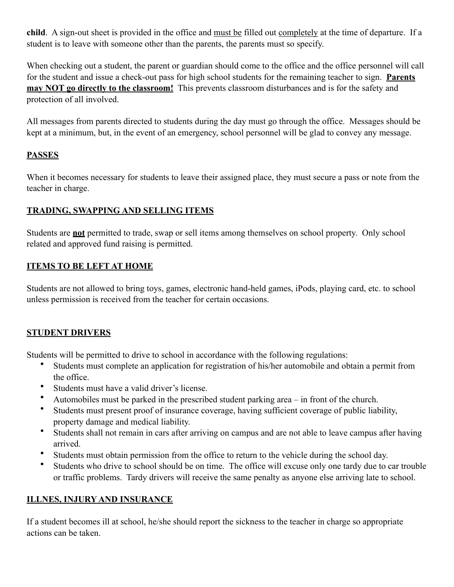**child**. A sign-out sheet is provided in the office and must be filled out completely at the time of departure. If a student is to leave with someone other than the parents, the parents must so specify.

When checking out a student, the parent or guardian should come to the office and the office personnel will call for the student and issue a check-out pass for high school students for the remaining teacher to sign. **Parents may NOT go directly to the classroom!** This prevents classroom disturbances and is for the safety and protection of all involved.

All messages from parents directed to students during the day must go through the office. Messages should be kept at a minimum, but, in the event of an emergency, school personnel will be glad to convey any message.

# **PASSES**

When it becomes necessary for students to leave their assigned place, they must secure a pass or note from the teacher in charge.

### **TRADING, SWAPPING AND SELLING ITEMS**

Students are **not** permitted to trade, swap or sell items among themselves on school property. Only school related and approved fund raising is permitted.

#### **ITEMS TO BE LEFT AT HOME**

Students are not allowed to bring toys, games, electronic hand-held games, iPods, playing card, etc. to school unless permission is received from the teacher for certain occasions.

# **STUDENT DRIVERS**

Students will be permitted to drive to school in accordance with the following regulations:

- Students must complete an application for registration of his/her automobile and obtain a permit from the office.
- Students must have a valid driver's license.
- Automobiles must be parked in the prescribed student parking area in front of the church.
- Students must present proof of insurance coverage, having sufficient coverage of public liability, property damage and medical liability.
- Students shall not remain in cars after arriving on campus and are not able to leave campus after having arrived.
- Students must obtain permission from the office to return to the vehicle during the school day.
- Students who drive to school should be on time. The office will excuse only one tardy due to car trouble or traffic problems. Tardy drivers will receive the same penalty as anyone else arriving late to school.

#### **ILLNES, INJURY AND INSURANCE**

If a student becomes ill at school, he/she should report the sickness to the teacher in charge so appropriate actions can be taken.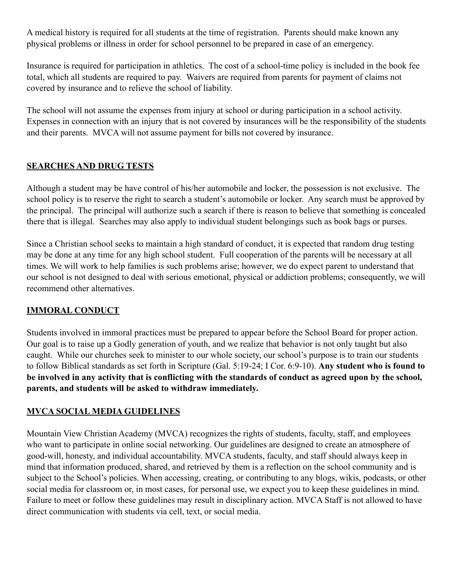A medical history is required for all students at the time of registration. Parents should make known any physical problems or illness in order for school personnel to be prepared in case of an emergency.

Insurance is required for participation in athletics. The cost of a school-time policy is included in the book fee total, which all students are required to pay. Waivers are required from parents for payment of claims not covered by insurance and to relieve the school of liability.

The school will not assume the expenses from injury at school or during participation in a school activity. Expenses in connection with an injury that is not covered by insurances will be the responsibility of the students and their parents. MVCA will not assume payment for bills not covered by insurance.

#### **SEARCHES AND DRUG TESTS**

Although a student may be have control of his/her automobile and locker, the possession is not exclusive. The school policy is to reserve the right to search a student's automobile or locker. Any search must be approved by the principal. The principal will authorize such a search if there is reason to believe that something is concealed there that is illegal. Searches may also apply to individual student belongings such as book bags or purses.

Since a Christian school seeks to maintain a high standard of conduct, it is expected that random drug testing may be done at any time for any high school student. Full cooperation of the parents will be necessary at all times. We will work to help families is such problems arise; however, we do expect parent to understand that our school is not designed to deal with serious emotional, physical or addiction problems; consequently, we will recommend other alternatives.

#### **IMMORAL CONDUCT**

Students involved in immoral practices must be prepared to appear before the School Board for proper action. Our goal is to raise up a Godly generation of youth, and we realize that behavior is not only taught but also caught. While our churches seek to minister to our whole society, our school's purpose is to train our students to follow Biblical standards as set forth in Scripture (Gal. 5:19-24; I Cor. 6:9-10). **Any student who is found to be involved in any activity that is conflicting with the standards of conduct as agreed upon by the school, parents, and students will be asked to withdraw immediately.**

#### **MVCA SOCIAL MEDIA GUIDELINES**

Mountain View Christian Academy (MVCA) recognizes the rights of students, faculty, staff, and employees who want to participate in online social networking. Our guidelines are designed to create an atmosphere of good-will, honesty, and individual accountability. MVCA students, faculty, and staff should always keep in mind that information produced, shared, and retrieved by them is a reflection on the school community and is subject to the School's policies. When accessing, creating, or contributing to any blogs, wikis, podcasts, or other social media for classroom or, in most cases, for personal use, we expect you to keep these guidelines in mind. Failure to meet or follow these guidelines may result in disciplinary action. MVCA Staff is not allowed to have direct communication with students via cell, text, or social media.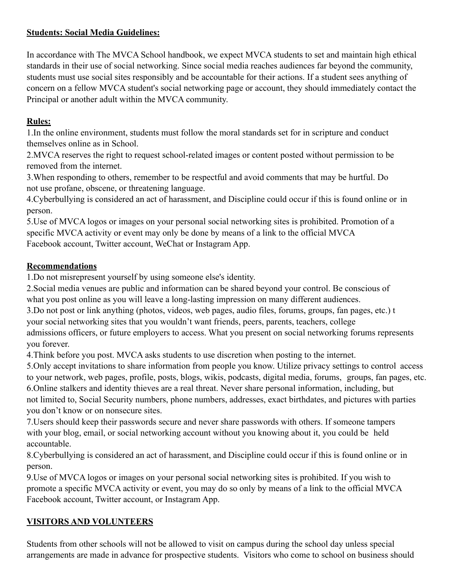### **Students: Social Media Guidelines:**

In accordance with The MVCA School handbook, we expect MVCA students to set and maintain high ethical standards in their use of social networking. Since social media reaches audiences far beyond the community, students must use social sites responsibly and be accountable for their actions. If a student sees anything of concern on a fellow MVCA student's social networking page or account, they should immediately contact the Principal or another adult within the MVCA community.

### **Rules:**

1.In the online environment, students must follow the moral standards set for in scripture and conduct themselves online as in School.

2.MVCA reserves the right to request school-related images or content posted without permission to be removed from the internet.

3.When responding to others, remember to be respectful and avoid comments that may be hurtful. Do not use profane, obscene, or threatening language.

4.Cyberbullying is considered an act of harassment, and Discipline could occur if this is found online or in person.

5.Use of MVCA logos or images on your personal social networking sites is prohibited. Promotion of a specific MVCA activity or event may only be done by means of a link to the official MVCA Facebook account, Twitter account, WeChat or Instagram App.

#### **Recommendations**

1.Do not misrepresent yourself by using someone else's identity.

2.Social media venues are public and information can be shared beyond your control. Be conscious of what you post online as you will leave a long-lasting impression on many different audiences.

3.Do not post or link anything (photos, videos, web pages, audio files, forums, groups, fan pages, etc.) t your social networking sites that you wouldn't want friends, peers, parents, teachers, college admissions officers, or future employers to access. What you present on social networking forums represents you forever.

4.Think before you post. MVCA asks students to use discretion when posting to the internet.

5.Only accept invitations to share information from people you know. Utilize privacy settings to control access to your network, web pages, profile, posts, blogs, wikis, podcasts, digital media, forums, groups, fan pages, etc. 6.Online stalkers and identity thieves are a real threat. Never share personal information, including, but not limited to, Social Security numbers, phone numbers, addresses, exact birthdates, and pictures with parties you don't know or on nonsecure sites.

7.Users should keep their passwords secure and never share passwords with others. If someone tampers with your blog, email, or social networking account without you knowing about it, you could be held accountable.

8.Cyberbullying is considered an act of harassment, and Discipline could occur if this is found online or in person.

9.Use of MVCA logos or images on your personal social networking sites is prohibited. If you wish to promote a specific MVCA activity or event, you may do so only by means of a link to the official MVCA Facebook account, Twitter account, or Instagram App.

# **VISITORS AND VOLUNTEERS**

Students from other schools will not be allowed to visit on campus during the school day unless special arrangements are made in advance for prospective students. Visitors who come to school on business should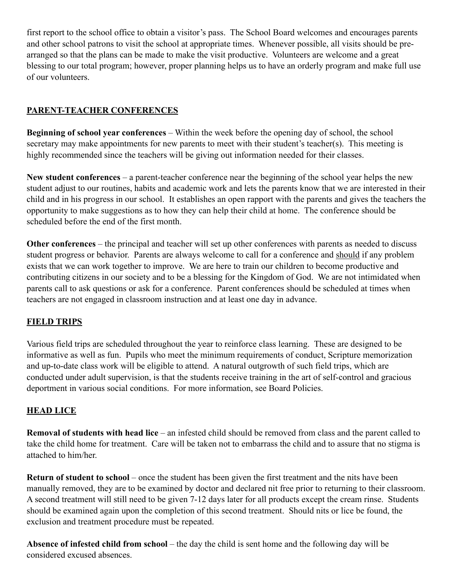first report to the school office to obtain a visitor's pass. The School Board welcomes and encourages parents and other school patrons to visit the school at appropriate times. Whenever possible, all visits should be prearranged so that the plans can be made to make the visit productive. Volunteers are welcome and a great blessing to our total program; however, proper planning helps us to have an orderly program and make full use of our volunteers.

### **PARENT-TEACHER CONFERENCES**

**Beginning of school year conferences** – Within the week before the opening day of school, the school secretary may make appointments for new parents to meet with their student's teacher(s). This meeting is highly recommended since the teachers will be giving out information needed for their classes.

**New student conferences** – a parent-teacher conference near the beginning of the school year helps the new student adjust to our routines, habits and academic work and lets the parents know that we are interested in their child and in his progress in our school. It establishes an open rapport with the parents and gives the teachers the opportunity to make suggestions as to how they can help their child at home. The conference should be scheduled before the end of the first month.

**Other conferences** – the principal and teacher will set up other conferences with parents as needed to discuss student progress or behavior. Parents are always welcome to call for a conference and should if any problem exists that we can work together to improve. We are here to train our children to become productive and contributing citizens in our society and to be a blessing for the Kingdom of God. We are not intimidated when parents call to ask questions or ask for a conference. Parent conferences should be scheduled at times when teachers are not engaged in classroom instruction and at least one day in advance.

# **FIELD TRIPS**

Various field trips are scheduled throughout the year to reinforce class learning. These are designed to be informative as well as fun. Pupils who meet the minimum requirements of conduct, Scripture memorization and up-to-date class work will be eligible to attend. A natural outgrowth of such field trips, which are conducted under adult supervision, is that the students receive training in the art of self-control and gracious deportment in various social conditions. For more information, see Board Policies.

# **HEAD LICE**

**Removal of students with head lice** – an infested child should be removed from class and the parent called to take the child home for treatment. Care will be taken not to embarrass the child and to assure that no stigma is attached to him/her.

**Return of student to school** – once the student has been given the first treatment and the nits have been manually removed, they are to be examined by doctor and declared nit free prior to returning to their classroom. A second treatment will still need to be given 7-12 days later for all products except the cream rinse. Students should be examined again upon the completion of this second treatment. Should nits or lice be found, the exclusion and treatment procedure must be repeated.

**Absence of infested child from school** – the day the child is sent home and the following day will be considered excused absences.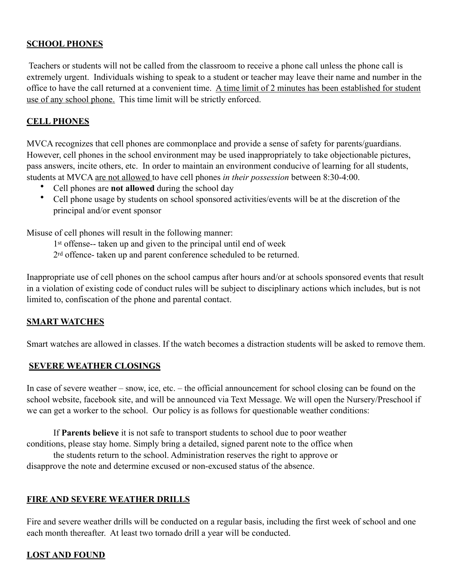#### **SCHOOL PHONES**

 Teachers or students will not be called from the classroom to receive a phone call unless the phone call is extremely urgent. Individuals wishing to speak to a student or teacher may leave their name and number in the office to have the call returned at a convenient time. A time limit of 2 minutes has been established for student use of any school phone. This time limit will be strictly enforced.

#### **CELL PHONES**

MVCA recognizes that cell phones are commonplace and provide a sense of safety for parents/guardians. However, cell phones in the school environment may be used inappropriately to take objectionable pictures, pass answers, incite others, etc. In order to maintain an environment conducive of learning for all students, students at MVCA are not allowed to have cell phones *in their possession* between 8:30-4:00.

- Cell phones are **not allowed** during the school day
- Cell phone usage by students on school sponsored activities/events will be at the discretion of the principal and/or event sponsor

Misuse of cell phones will result in the following manner:

1st offense-- taken up and given to the principal until end of week

2rd offence- taken up and parent conference scheduled to be returned.

Inappropriate use of cell phones on the school campus after hours and/or at schools sponsored events that result in a violation of existing code of conduct rules will be subject to disciplinary actions which includes, but is not limited to, confiscation of the phone and parental contact.

#### **SMART WATCHES**

Smart watches are allowed in classes. If the watch becomes a distraction students will be asked to remove them.

#### **SEVERE WEATHER CLOSINGS**

In case of severe weather – snow, ice, etc. – the official announcement for school closing can be found on the school website, facebook site, and will be announced via Text Message. We will open the Nursery/Preschool if we can get a worker to the school. Our policy is as follows for questionable weather conditions:

 If **Parents believe** it is not safe to transport students to school due to poor weather conditions, please stay home. Simply bring a detailed, signed parent note to the office when

 the students return to the school. Administration reserves the right to approve or disapprove the note and determine excused or non-excused status of the absence.

#### **FIRE AND SEVERE WEATHER DRILLS**

Fire and severe weather drills will be conducted on a regular basis, including the first week of school and one each month thereafter. At least two tornado drill a year will be conducted.

#### **LOST AND FOUND**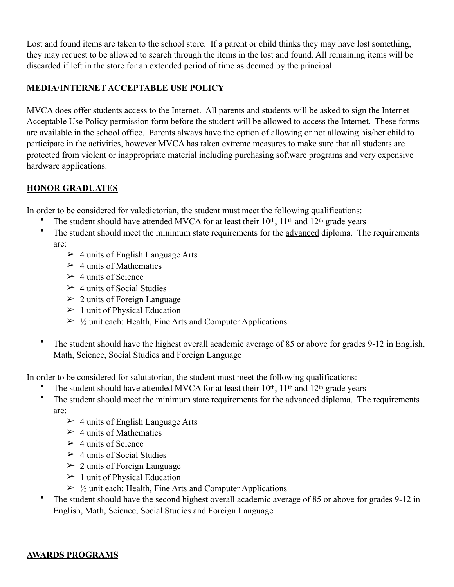Lost and found items are taken to the school store. If a parent or child thinks they may have lost something, they may request to be allowed to search through the items in the lost and found. All remaining items will be discarded if left in the store for an extended period of time as deemed by the principal.

#### **MEDIA/INTERNET ACCEPTABLE USE POLICY**

MVCA does offer students access to the Internet. All parents and students will be asked to sign the Internet Acceptable Use Policy permission form before the student will be allowed to access the Internet. These forms are available in the school office. Parents always have the option of allowing or not allowing his/her child to participate in the activities, however MVCA has taken extreme measures to make sure that all students are protected from violent or inappropriate material including purchasing software programs and very expensive hardware applications.

#### **HONOR GRADUATES**

In order to be considered for valedictorian, the student must meet the following qualifications:

- The student should have attended MVCA for at least their  $10<sup>th</sup>$ ,  $11<sup>th</sup>$  and  $12<sup>th</sup>$  grade years
- The student should meet the minimum state requirements for the advanced diploma. The requirements are:
	- $\geq 4$  units of English Language Arts
	- $> 4$  units of Mathematics
	- $\geq 4$  units of Science
	- $\geq 4$  units of Social Studies
	- $\geq 2$  units of Foreign Language
	- $\geq 1$  unit of Physical Education
	- $\geq \frac{1}{2}$  unit each: Health, Fine Arts and Computer Applications
- The student should have the highest overall academic average of 85 or above for grades 9-12 in English, Math, Science, Social Studies and Foreign Language

In order to be considered for salutatorian, the student must meet the following qualifications:

- The student should have attended MVCA for at least their  $10<sup>th</sup>$ ,  $11<sup>th</sup>$  and  $12<sup>th</sup>$  grade years
- The student should meet the minimum state requirements for the advanced diploma. The requirements are:
	- $\geq 4$  units of English Language Arts
	- $> 4$  units of Mathematics
	- $\geq 4$  units of Science
	- $\geq 4$  units of Social Studies
	- $\geq 2$  units of Foreign Language
	- $\geq 1$  unit of Physical Education
	- $\geq \frac{1}{2}$  unit each: Health, Fine Arts and Computer Applications
- The student should have the second highest overall academic average of 85 or above for grades 9-12 in English, Math, Science, Social Studies and Foreign Language

#### **AWARDS PROGRAMS**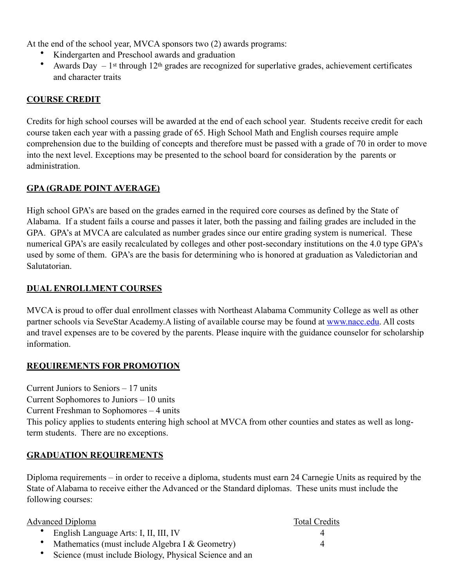At the end of the school year, MVCA sponsors two (2) awards programs:

- Kindergarten and Preschool awards and graduation
- Awards Day  $-1$ <sup>st</sup> through 12<sup>th</sup> grades are recognized for superlative grades, achievement certificates and character traits

### **COURSE CREDIT**

Credits for high school courses will be awarded at the end of each school year. Students receive credit for each course taken each year with a passing grade of 65. High School Math and English courses require ample comprehension due to the building of concepts and therefore must be passed with a grade of 70 in order to move into the next level. Exceptions may be presented to the school board for consideration by the parents or administration.

#### **GPA (GRADE POINT AVERAGE)**

High school GPA's are based on the grades earned in the required core courses as defined by the State of Alabama. If a student fails a course and passes it later, both the passing and failing grades are included in the GPA. GPA's at MVCA are calculated as number grades since our entire grading system is numerical. These numerical GPA's are easily recalculated by colleges and other post-secondary institutions on the 4.0 type GPA's used by some of them. GPA's are the basis for determining who is honored at graduation as Valedictorian and Salutatorian.

#### **DUAL ENROLLMENT COURSES**

MVCA is proud to offer dual enrollment classes with Northeast Alabama Community College as well as other partner schools via SeveStar Academy. A listing of available course may be found at [www.nacc.edu.](http://www.nacc.edu) All costs and travel expenses are to be covered by the parents. Please inquire with the guidance counselor for scholarship information.

#### **REQUIREMENTS FOR PROMOTION**

Current Juniors to Seniors – 17 units Current Sophomores to Juniors – 10 units

Current Freshman to Sophomores – 4 units

This policy applies to students entering high school at MVCA from other counties and states as well as longterm students. There are no exceptions.

#### **GRADUATION REQUIREMENTS**

Diploma requirements – in order to receive a diploma, students must earn 24 Carnegie Units as required by the State of Alabama to receive either the Advanced or the Standard diplomas. These units must include the following courses:

| <b>Advanced Diploma</b>                                  | <b>Total Credits</b> |
|----------------------------------------------------------|----------------------|
| • English Language Arts: I, II, III, IV                  |                      |
| • Mathematics (must include Algebra I $& Geometry$ )     | $\Delta$             |
| • Science (must include Biology, Physical Science and an |                      |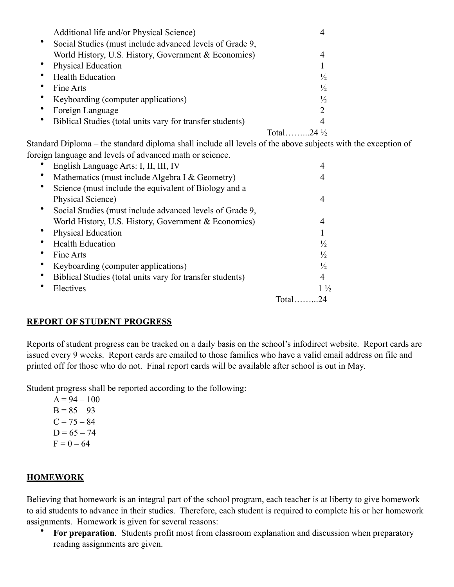| Additional life and/or Physical Science)                  |                       |  |
|-----------------------------------------------------------|-----------------------|--|
| Social Studies (must include advanced levels of Grade 9,  |                       |  |
| World History, U.S. History, Government & Economics)      |                       |  |
| <b>Physical Education</b>                                 |                       |  |
| <b>Health Education</b>                                   | $\frac{1}{2}$         |  |
| Fine Arts                                                 | $\frac{1}{2}$         |  |
| Keyboarding (computer applications)                       | $\frac{1}{2}$         |  |
| Foreign Language                                          | $\mathcal{D}$         |  |
| Biblical Studies (total units vary for transfer students) | 4                     |  |
|                                                           | Total $24\frac{1}{2}$ |  |

Standard Diploma – the standard diploma shall include all levels of the above subjects with the exception of foreign language and levels of advanced math or science.

| English Language Arts: I, II, III, IV                     |        |                |
|-----------------------------------------------------------|--------|----------------|
| Mathematics (must include Algebra I & Geometry)           |        |                |
| Science (must include the equivalent of Biology and a     |        |                |
| Physical Science)                                         |        |                |
| Social Studies (must include advanced levels of Grade 9,  |        |                |
| World History, U.S. History, Government & Economics)      |        | 4              |
| Physical Education                                        |        |                |
| <b>Health Education</b>                                   |        | $\frac{1}{2}$  |
| Fine Arts                                                 |        | $\frac{1}{2}$  |
| Keyboarding (computer applications)                       |        | $\frac{1}{2}$  |
| Biblical Studies (total units vary for transfer students) |        | 4              |
| Electives                                                 |        | $1\frac{1}{2}$ |
|                                                           | Total. | 24             |

#### **REPORT OF STUDENT PROGRESS**

Reports of student progress can be tracked on a daily basis on the school's infodirect website. Report cards are issued every 9 weeks. Report cards are emailed to those families who have a valid email address on file and printed off for those who do not. Final report cards will be available after school is out in May.

Student progress shall be reported according to the following:

 $A = 94 - 100$  $B = 85 - 93$  $C = 75 - 84$  $D = 65 - 74$  $F = 0 - 64$ 

#### **HOMEWORK**

Believing that homework is an integral part of the school program, each teacher is at liberty to give homework to aid students to advance in their studies. Therefore, each student is required to complete his or her homework assignments. Homework is given for several reasons:

• **For preparation**. Students profit most from classroom explanation and discussion when preparatory reading assignments are given.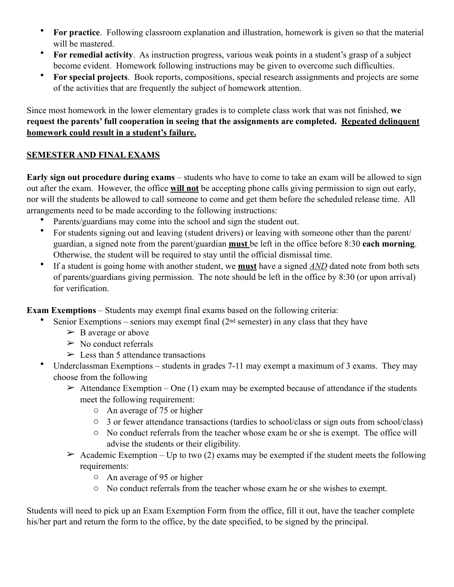- **For practice**. Following classroom explanation and illustration, homework is given so that the material will be mastered.
- **For remedial activity**. As instruction progress, various weak points in a student's grasp of a subject become evident. Homework following instructions may be given to overcome such difficulties.
- **For special projects**. Book reports, compositions, special research assignments and projects are some of the activities that are frequently the subject of homework attention.

Since most homework in the lower elementary grades is to complete class work that was not finished, **we request the parents' full cooperation in seeing that the assignments are completed. Repeated delinquent homework could result in a student's failure.**

#### **SEMESTER AND FINAL EXAMS**

**Early sign out procedure during exams** – students who have to come to take an exam will be allowed to sign out after the exam. However, the office **will not** be accepting phone calls giving permission to sign out early, nor will the students be allowed to call someone to come and get them before the scheduled release time. All arrangements need to be made according to the following instructions:

- Parents/guardians may come into the school and sign the student out.
- For students signing out and leaving (student drivers) or leaving with someone other than the parent/ guardian, a signed note from the parent/guardian **must** be left in the office before 8:30 **each morning**. Otherwise, the student will be required to stay until the official dismissal time.
- If a student is going home with another student, we **must** have a signed *AND* dated note from both sets of parents/guardians giving permission. The note should be left in the office by 8:30 (or upon arrival) for verification.

**Exam Exemptions** – Students may exempt final exams based on the following criteria:

- Senior Exemptions seniors may exempt final  $(2<sup>nd</sup>$  semester) in any class that they have
	- $\triangleright$  B average or above
	- $\triangleright$  No conduct referrals
	- $\geq$  Less than 5 attendance transactions
- Underclassman Exemptions students in grades 7-11 may exempt a maximum of 3 exams. They may choose from the following
	- $\triangleright$  Attendance Exemption One (1) exam may be exempted because of attendance if the students meet the following requirement:
		- o An average of 75 or higher
		- o 3 or fewer attendance transactions (tardies to school/class or sign outs from school/class)
		- o No conduct referrals from the teacher whose exam he or she is exempt. The office will advise the students or their eligibility.
	- $\geq$  Academic Exemption Up to two (2) exams may be exempted if the student meets the following requirements:
		- o An average of 95 or higher
		- o No conduct referrals from the teacher whose exam he or she wishes to exempt.

Students will need to pick up an Exam Exemption Form from the office, fill it out, have the teacher complete his/her part and return the form to the office, by the date specified, to be signed by the principal.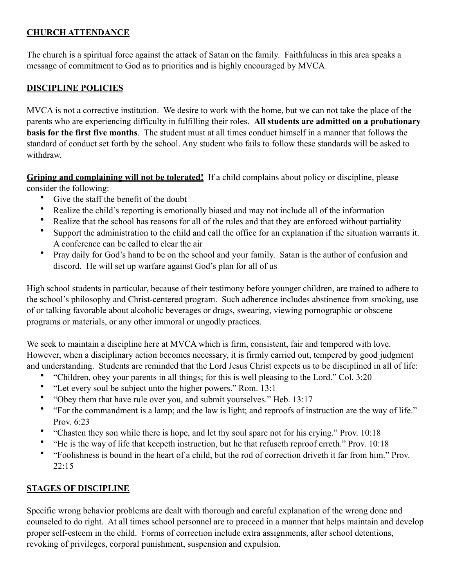# **CHURCH ATTENDANCE**

The church is a spiritual force against the attack of Satan on the family. Faithfulness in this area speaks a message of commitment to God as to priorities and is highly encouraged by MVCA.

#### **DISCIPLINE POLICIES**

MVCA is not a corrective institution. We desire to work with the home, but we can not take the place of the parents who are experiencing difficulty in fulfilling their roles. **All students are admitted on a probationary basis for the first five months**. The student must at all times conduct himself in a manner that follows the standard of conduct set forth by the school. Any student who fails to follow these standards will be asked to withdraw.

**Griping and complaining will not be tolerated!** If a child complains about policy or discipline, please consider the following:

- Give the staff the benefit of the doubt
- Realize the child's reporting is emotionally biased and may not include all of the information
- Realize that the school has reasons for all of the rules and that they are enforced without partiality
- Support the administration to the child and call the office for an explanation if the situation warrants it. A conference can be called to clear the air
- Pray daily for God's hand to be on the school and your family. Satan is the author of confusion and discord. He will set up warfare against God's plan for all of us

High school students in particular, because of their testimony before younger children, are trained to adhere to the school's philosophy and Christ-centered program. Such adherence includes abstinence from smoking, use of or talking favorable about alcoholic beverages or drugs, swearing, viewing pornographic or obscene programs or materials, or any other immoral or ungodly practices.

We seek to maintain a discipline here at MVCA which is firm, consistent, fair and tempered with love. However, when a disciplinary action becomes necessary, it is firmly carried out, tempered by good judgment and understanding. Students are reminded that the Lord Jesus Christ expects us to be disciplined in all of life:

- "Children, obey your parents in all things; for this is well pleasing to the Lord." Col. 3:20
- "Let every soul be subject unto the higher powers." Rom. 13:1
- "Obey them that have rule over you, and submit yourselves." Heb. 13:17
- "For the commandment is a lamp; and the law is light; and reproofs of instruction are the way of life." Prov. 6:23
- "Chasten they son while there is hope, and let thy soul spare not for his crying." Prov. 10:18
- "He is the way of life that keepeth instruction, but he that refuseth reproof erreth." Prov. 10:18
- "Foolishness is bound in the heart of a child, but the rod of correction driveth it far from him." Prov.  $22.15$

#### **STAGES OF DISCIPLINE**

Specific wrong behavior problems are dealt with thorough and careful explanation of the wrong done and counseled to do right. At all times school personnel are to proceed in a manner that helps maintain and develop proper self-esteem in the child. Forms of correction include extra assignments, after school detentions, revoking of privileges, corporal punishment, suspension and expulsion.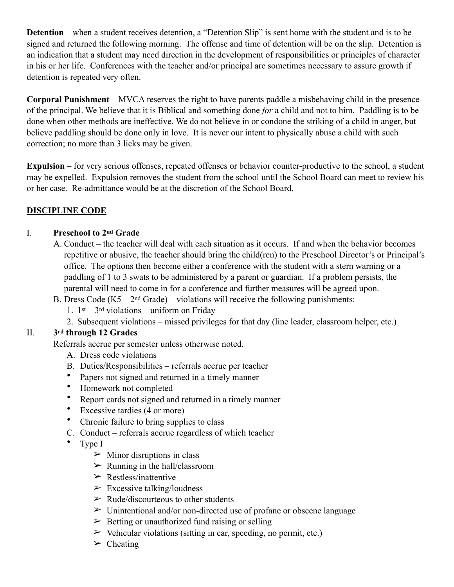**Detention** – when a student receives detention, a "Detention Slip" is sent home with the student and is to be signed and returned the following morning. The offense and time of detention will be on the slip. Detention is an indication that a student may need direction in the development of responsibilities or principles of character in his or her life. Conferences with the teacher and/or principal are sometimes necessary to assure growth if detention is repeated very often.

**Corporal Punishment** – MVCA reserves the right to have parents paddle a misbehaving child in the presence of the principal. We believe that it is Biblical and something done *for* a child and not to him. Paddling is to be done when other methods are ineffective. We do not believe in or condone the striking of a child in anger, but believe paddling should be done only in love. It is never our intent to physically abuse a child with such correction; no more than 3 licks may be given.

**Expulsion** – for very serious offenses, repeated offenses or behavior counter-productive to the school, a student may be expelled. Expulsion removes the student from the school until the School Board can meet to review his or her case. Re-admittance would be at the discretion of the School Board.

# **DISCIPLINE CODE**

#### I. **Preschool to 2nd Grade**

- A. Conduct the teacher will deal with each situation as it occurs. If and when the behavior becomes repetitive or abusive, the teacher should bring the child(ren) to the Preschool Director's or Principal's office. The options then become either a conference with the student with a stern warning or a paddling of 1 to 3 swats to be administered by a parent or guardian. If a problem persists, the parental will need to come in for a conference and further measures will be agreed upon.
- B. Dress Code  $(K5 2<sup>nd</sup> Grade) violations will receive the following punishments:$ 
	- 1.  $1^{st} 3^{rd}$  violations uniform on Friday
	- 2. Subsequent violations missed privileges for that day (line leader, classroom helper, etc.)

#### II. **3rd through 12 Grades**

Referrals accrue per semester unless otherwise noted.

- A. Dress code violations
- B. Duties/Responsibilities referrals accrue per teacher
- Papers not signed and returned in a timely manner
- Homework not completed
- Report cards not signed and returned in a timely manner
- Excessive tardies (4 or more)
- Chronic failure to bring supplies to class
- C. Conduct referrals accrue regardless of which teacher
- Type I
	- $\triangleright$  Minor disruptions in class
	- $\triangleright$  Running in the hall/classroom
	- $\triangleright$  Restless/inattentive
	- $\triangleright$  Excessive talking/loudness
	- $\triangleright$  Rude/discourteous to other students
	- $\triangleright$  Unintentional and/or non-directed use of profane or obscene language
	- $\triangleright$  Betting or unauthorized fund raising or selling
	- $\triangleright$  Vehicular violations (sitting in car, speeding, no permit, etc.)
	- $\triangleright$  Cheating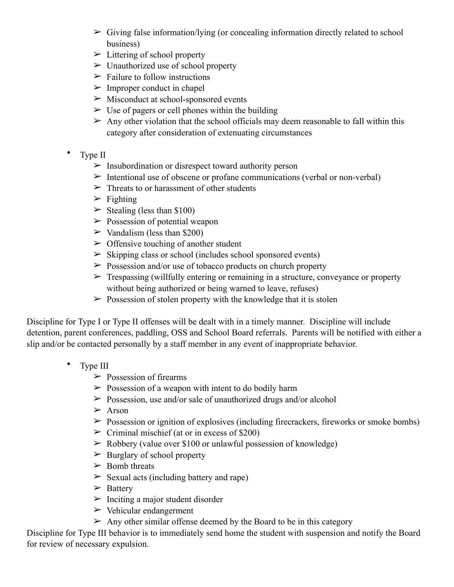- $\triangleright$  Giving false information/lying (or concealing information directly related to school business)
- $\triangleright$  Littering of school property
- $\triangleright$  Unauthorized use of school property
- $\triangleright$  Failure to follow instructions
- $\triangleright$  Improper conduct in chapel
- $\triangleright$  Misconduct at school-sponsored events
- $\triangleright$  Use of pagers or cell phones within the building
- $\triangleright$  Any other violation that the school officials may deem reasonable to fall within this category after consideration of extenuating circumstances
- Type II
	- $\triangleright$  Insubordination or disrespect toward authority person
	- $\triangleright$  Intentional use of obscene or profane communications (verbal or non-verbal)
	- $\triangleright$  Threats to or harassment of other students
	- $\triangleright$  Fighting
	- $\geq$  Stealing (less than \$100)
	- $\triangleright$  Possession of potential weapon
	- $\triangleright$  Vandalism (less than \$200)
	- $\geq$  Offensive touching of another student
	- $\triangleright$  Skipping class or school (includes school sponsored events)
	- $\geq$  Possession and/or use of tobacco products on church property
	- $\triangleright$  Trespassing (willfully entering or remaining in a structure, conveyance or property without being authorized or being warned to leave, refuses)
	- $\geq$  Possession of stolen property with the knowledge that it is stolen

Discipline for Type I or Type II offenses will be dealt with in a timely manner. Discipline will include detention, parent conferences, paddling, OSS and School Board referrals. Parents will be notified with either a slip and/or be contacted personally by a staff member in any event of inappropriate behavior.

- Type III
	- $\triangleright$  Possession of firearms
	- $\geq$  Possession of a weapon with intent to do bodily harm
	- $\geq$  Possession, use and/or sale of unauthorized drugs and/or alcohol
	- $\geq$  Arson
	- $\triangleright$  Possession or ignition of explosives (including firecrackers, fireworks or smoke bombs)
	- $\triangleright$  Criminal mischief (at or in excess of \$200)
	- $\geq$  Robbery (value over \$100 or unlawful possession of knowledge)
	- $\triangleright$  Burglary of school property
	- $\geq$  Bomb threats
	- $\geq$  Sexual acts (including battery and rape)
	- $\triangleright$  Battery
	- $\triangleright$  Inciting a major student disorder
	- $\triangleright$  Vehicular endangerment
	- $\geq$  Any other similar offense deemed by the Board to be in this category

Discipline for Type III behavior is to immediately send home the student with suspension and notify the Board for review of necessary expulsion.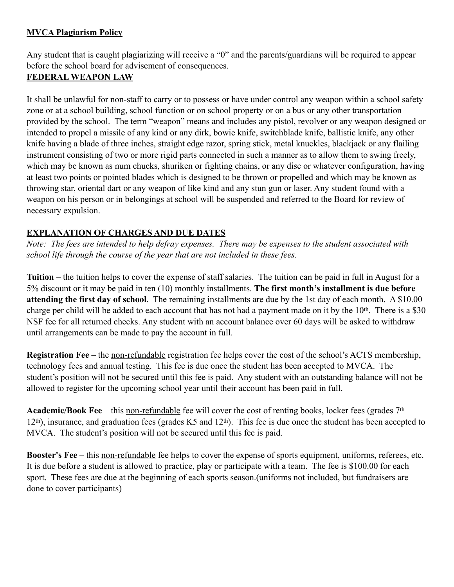### **MVCA Plagiarism Policy**

Any student that is caught plagiarizing will receive a "0" and the parents/guardians will be required to appear before the school board for advisement of consequences.

#### **FEDERAL WEAPON LAW**

It shall be unlawful for non-staff to carry or to possess or have under control any weapon within a school safety zone or at a school building, school function or on school property or on a bus or any other transportation provided by the school. The term "weapon" means and includes any pistol, revolver or any weapon designed or intended to propel a missile of any kind or any dirk, bowie knife, switchblade knife, ballistic knife, any other knife having a blade of three inches, straight edge razor, spring stick, metal knuckles, blackjack or any flailing instrument consisting of two or more rigid parts connected in such a manner as to allow them to swing freely, which may be known as num chucks, shuriken or fighting chains, or any disc or whatever configuration, having at least two points or pointed blades which is designed to be thrown or propelled and which may be known as throwing star, oriental dart or any weapon of like kind and any stun gun or laser. Any student found with a weapon on his person or in belongings at school will be suspended and referred to the Board for review of necessary expulsion.

#### **EXPLANATION OF CHARGES AND DUE DATES**

*Note: The fees are intended to help defray expenses. There may be expenses to the student associated with school life through the course of the year that are not included in these fees.* 

**Tuition** – the tuition helps to cover the expense of staff salaries. The tuition can be paid in full in August for a 5% discount or it may be paid in ten (10) monthly installments. **The first month's installment is due before attending the first day of school**. The remaining installments are due by the 1st day of each month. A \$10.00 charge per child will be added to each account that has not had a payment made on it by the  $10<sup>th</sup>$ . There is a \$30 NSF fee for all returned checks. Any student with an account balance over 60 days will be asked to withdraw until arrangements can be made to pay the account in full.

**Registration Fee** – the non-refundable registration fee helps cover the cost of the school's ACTS membership, technology fees and annual testing. This fee is due once the student has been accepted to MVCA. The student's position will not be secured until this fee is paid. Any student with an outstanding balance will not be allowed to register for the upcoming school year until their account has been paid in full.

**Academic/Book Fee** – this non-refundable fee will cover the cost of renting books, locker fees (grades 7<sup>th</sup> – 12th), insurance, and graduation fees (grades K5 and 12th). This fee is due once the student has been accepted to MVCA. The student's position will not be secured until this fee is paid.

**Booster's Fee** – this non-refundable fee helps to cover the expense of sports equipment, uniforms, referees, etc. It is due before a student is allowed to practice, play or participate with a team. The fee is \$100.00 for each sport. These fees are due at the beginning of each sports season.(uniforms not included, but fundraisers are done to cover participants)